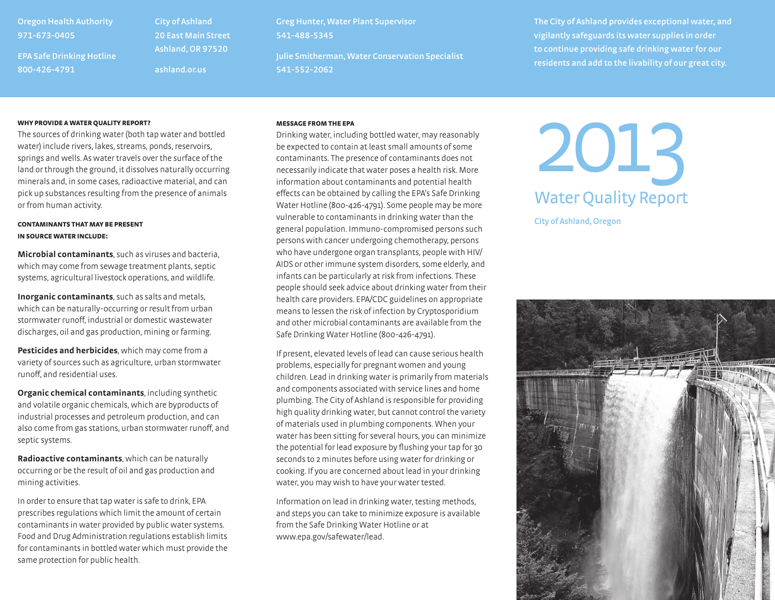# **Oregon Health Authority 971-673-0405**

**EPA Safe Drinking Hotline 800-426-4791**

**City of Ashland 20 East Main Street Ashland, OR 97520 ashland.or.us**

**Greg Hunter, Water Plant Supervisor 541-488-5345**

**Julie Smitherman, Water Conservation Specialist 541-552-2062**

**The City of Ashland provides exceptional water, and vigilantly safeguards its water supplies in order to continue providing safe drinking water for our residents and add to the livability of our great city.**

## WHY PROVIDE A WATER QUALITY REPORT?

The sources of drinking water (both tap water and bottled water) include rivers, lakes, streams, ponds, reservoirs, springs and wells. As water travels over the surface of the land or through the ground, it dissolves naturally occurring minerals and, in some cases, radioactive material, and can pick up substances resulting from the presence of animals or from human activity.

## contaminants that may be present in source water include:

**Microbial contaminants**, such as viruses and bacteria, which may come from sewage treatment plants, septic systems, agricultural livestock operations, and wildlife.

**Inorganic contaminants**, such as salts and metals, which can be naturally-occurring or result from urban stormwater runoff, industrial or domestic wastewater discharges, oil and gas production, mining or farming.

**Pesticides and herbicides**, which may come from a variety of sources such as agriculture, urban stormwater runoff, and residential uses.

**Organic chemical contaminants**, including synthetic and volatile organic chemicals, which are byproducts of industrial processes and petroleum production, and can also come from gas stations, urban stormwater runoff, and septic systems.

**Radioactive contaminants**, which can be naturally occurring or be the result of oil and gas production and mining activities.

In order to ensure that tap water is safe to drink, EPA prescribes regulations which limit the amount of certain contaminants in water provided by public water systems. Food and Drug Administration regulations establish limits for contaminants in bottled water which must provide the same protection for public health.

## Message from the EPA

Drinking water, including bottled water, may reasonably be expected to contain at least small amounts of some contaminants. The presence of contaminants does not necessarily indicate that water poses a health risk. More information about contaminants and potential health effects can be obtained by calling the EPA's Safe Drinking Water Hotline (800-426-4791). Some people may be more vulnerable to contaminants in drinking water than the general population. Immuno-compromised persons such persons with cancer undergoing chemotherapy, persons who have undergone organ transplants, people with HIV/ AIDS or other immune system disorders, some elderly, and infants can be particularly at risk from infections. These people should seek advice about drinking water from their health care providers. EPA/CDC guidelines on appropriate means to lessen the risk of infection by Cryptosporidium and other microbial contaminants are available from the Safe Drinking Water Hotline (800-426-4791).

If present, elevated levels of lead can cause serious health problems, especially for pregnant women and young children. Lead in drinking water is primarily from materials and components associated with service lines and home plumbing. The City of Ashland is responsible for providing high quality drinking water, but cannot control the variety of materials used in plumbing components. When your water has been sitting for several hours, you can minimize the potential for lead exposure by flushing your tap for 30 seconds to 2 minutes before using water for drinking or cooking. If you are concerned about lead in your drinking water, you may wish to have your water tested.

Information on lead in drinking water, testing methods, and steps you can take to minimize exposure is available from the Safe Drinking Water Hotline or at www.epa.gov/safewater/lead.

2013 Water Quality Report

**City of Ashland, Oregon**